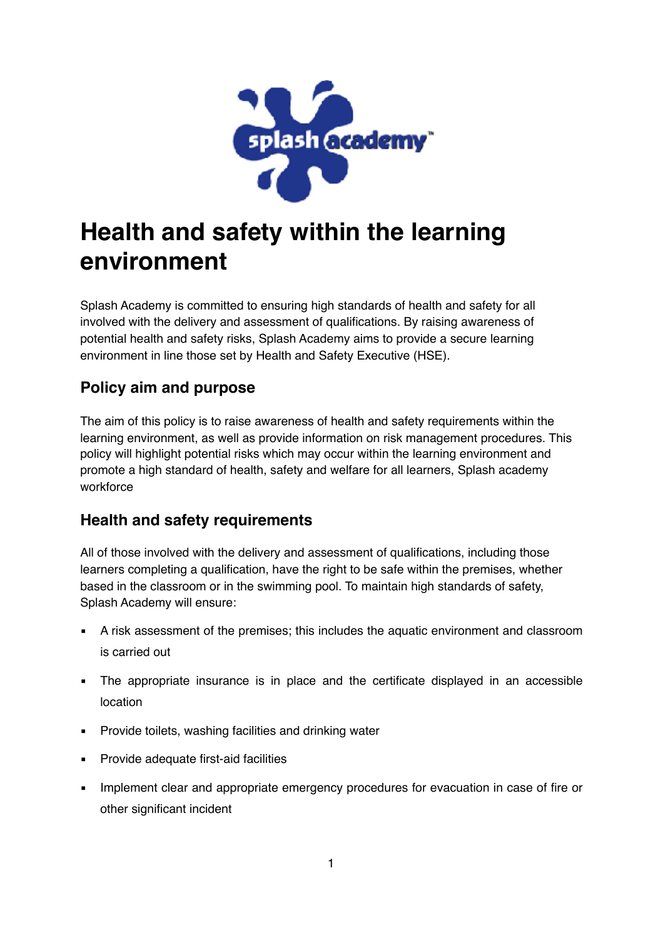

# **Health and safety within the learning environment**

Splash Academy is committed to ensuring high standards of health and safety for all involved with the delivery and assessment of qualifications. By raising awareness of potential health and safety risks, Splash Academy aims to provide a secure learning environment in line those set by Health and Safety Executive (HSE).

# **Policy aim and purpose**

The aim of this policy is to raise awareness of health and safety requirements within the learning environment, as well as provide information on risk management procedures. This policy will highlight potential risks which may occur within the learning environment and promote a high standard of health, safety and welfare for all learners, Splash academy workforce

#### **Health and safety requirements**

All of those involved with the delivery and assessment of qualifications, including those learners completing a qualification, have the right to be safe within the premises, whether based in the classroom or in the swimming pool. To maintain high standards of safety, Splash Academy will ensure:

- A risk assessment of the premises; this includes the aquatic environment and classroom is carried out
- **•** The appropriate insurance is in place and the certificate displayed in an accessible location
- **Provide toilets, washing facilities and drinking water**
- Provide adequate first-aid facilities
- **EXECT** Implement clear and appropriate emergency procedures for evacuation in case of fire or other significant incident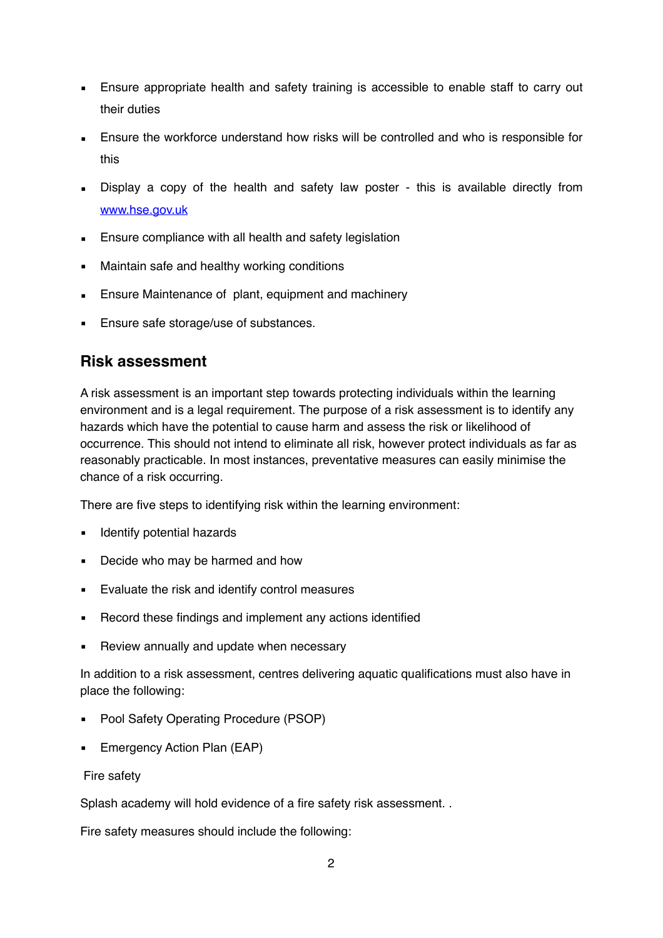- **Ensure appropriate health and safety training is accessible to enable staff to carry out** their duties
- Ensure the workforce understand how risks will be controlled and who is responsible for this
- **EXEDENCIA** Display a copy of the health and safety law poster this is available directly from [www.hse.gov.uk](http://www.hse.gov.uk)
- **Ensure compliance with all health and safety legislation**
- Maintain safe and healthy working conditions
- **Ensure Maintenance of plant, equipment and machinery**
- **Ensure safe storage/use of substances.**

#### **Risk assessment**

A risk assessment is an important step towards protecting individuals within the learning environment and is a legal requirement. The purpose of a risk assessment is to identify any hazards which have the potential to cause harm and assess the risk or likelihood of occurrence. This should not intend to eliminate all risk, however protect individuals as far as reasonably practicable. In most instances, preventative measures can easily minimise the chance of a risk occurring.

There are five steps to identifying risk within the learning environment:

- **EXECUTE:** Identify potential hazards
- Decide who may be harmed and how
- Evaluate the risk and identify control measures
- Record these findings and implement any actions identified
- Review annually and update when necessary

In addition to a risk assessment, centres delivering aquatic qualifications must also have in place the following:

- Pool Safety Operating Procedure (PSOP)
- **Emergency Action Plan (EAP)**

#### Fire safety

Splash academy will hold evidence of a fire safety risk assessment. .

Fire safety measures should include the following: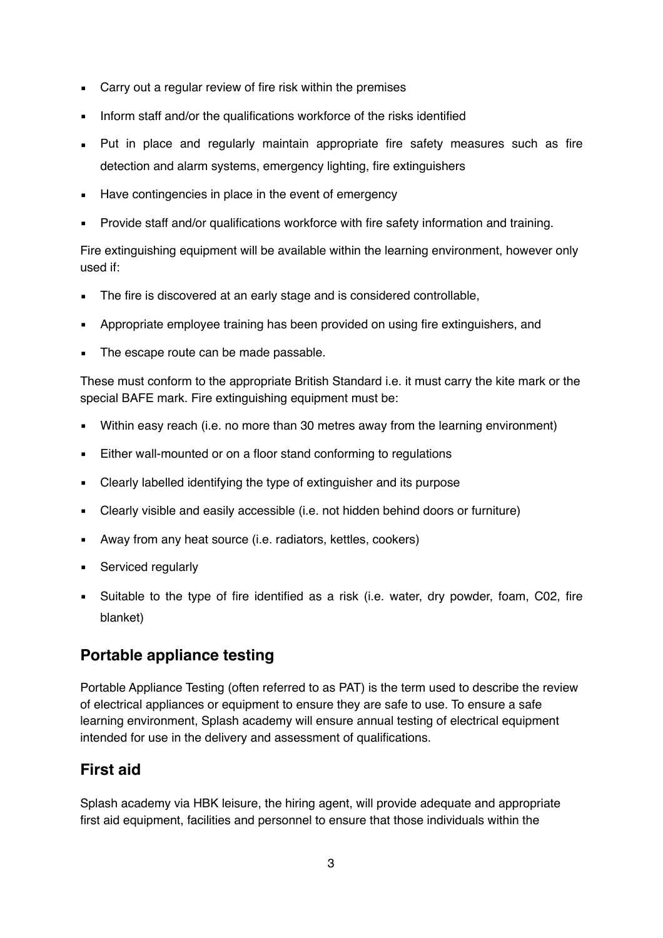- Carry out a regular review of fire risk within the premises
- Inform staff and/or the qualifications workforce of the risks identified
- Put in place and regularly maintain appropriate fire safety measures such as fire detection and alarm systems, emergency lighting, fire extinguishers
- Have contingencies in place in the event of emergency
- Provide staff and/or qualifications workforce with fire safety information and training.

Fire extinguishing equipment will be available within the learning environment, however only used if:

- The fire is discovered at an early stage and is considered controllable,
- Appropriate employee training has been provided on using fire extinguishers, and
- The escape route can be made passable.

These must conform to the appropriate British Standard i.e. it must carry the kite mark or the special BAFE mark. Fire extinguishing equipment must be:

- **EXECT** Within easy reach (i.e. no more than 30 metres away from the learning environment)
- Either wall-mounted or on a floor stand conforming to regulations
- Clearly labelled identifying the type of extinguisher and its purpose
- Clearly visible and easily accessible (i.e. not hidden behind doors or furniture)
- **EXECT** Away from any heat source (i.e. radiators, kettles, cookers)
- Serviced regularly
- Suitable to the type of fire identified as a risk (i.e. water, dry powder, foam, C02, fire blanket)

#### **Portable appliance testing**

Portable Appliance Testing (often referred to as PAT) is the term used to describe the review of electrical appliances or equipment to ensure they are safe to use. To ensure a safe learning environment, Splash academy will ensure annual testing of electrical equipment intended for use in the delivery and assessment of qualifications.

#### **First aid**

Splash academy via HBK leisure, the hiring agent, will provide adequate and appropriate first aid equipment, facilities and personnel to ensure that those individuals within the